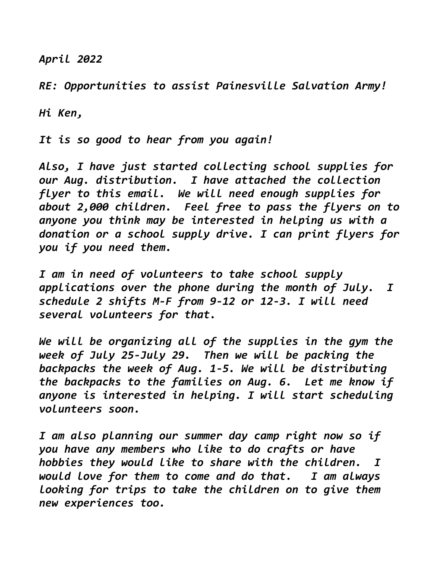April 2022

RE: Opportunities to assist Painesville Salvation Army!

Hi Ken,

It is so good to hear from you again!

Also, I have just started collecting school supplies for our Aug. distribution. I have attached the collection flyer to this email. We will need enough supplies for about 2,000 children. Feel free to pass the flyers on to anyone you think may be interested in helping us with a donation or a school supply drive. I can print flyers for you if you need them.

I am in need of volunteers to take school supply applications over the phone during the month of July. I schedule 2 shifts M-F from 9-12 or 12-3. I will need several volunteers for that.

We will be organizing all of the supplies in the gym the week of July 25-July 29. Then we will be packing the backpacks the week of Aug. 1-5. We will be distributing the backpacks to the families on Aug. 6. Let me know if anyone is interested in helping. I will start scheduling volunteers soon.

I am also planning our summer day camp right now so if you have any members who like to do crafts or have hobbies they would like to share with the children. I would love for them to come and do that. I am always looking for trips to take the children on to give them new experiences too.